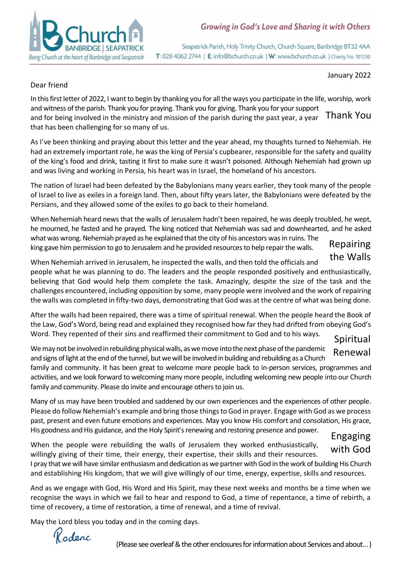

Seapatrick Parish, Holy Trinity Church, Church Square, Banbridge BT32 4AA T: 028 4062 2744 | E: info@bchurch.co.uk | W: www.bchurch.co.uk | Charity No. 101230

January 2022

#### Dear friend

In this first letter of 2022, I want to begin by thanking you for all the ways you participate in the life, worship, work and witness of the parish. Thank you for praying. Thank you for giving. Thank you for your support and for being involved in the ministry and mission of the parish during the past year, a year that has been challenging for so many of us. Thank You

As I've been thinking and praying about this letter and the year ahead, my thoughts turned to Nehemiah. He had an extremely important role, he was the king of Persia's cupbearer, responsible for the safety and quality of the king's food and drink, tasting it first to make sure it wasn't poisoned. Although Nehemiah had grown up and was living and working in Persia, his heart was in Israel, the homeland of his ancestors.

The nation of Israel had been defeated by the Babylonians many years earlier, they took many of the people of Israel to live as exiles in a foreign land. Then, about fifty years later, the Babylonians were defeated by the Persians, and they allowed some of the exiles to go back to their homeland.

When Nehemiah heard news that the walls of Jerusalem hadn't been repaired, he was deeply troubled, he wept, he mourned, he fasted and he prayed. The king noticed that Nehemiah was sad and downhearted, and he asked what was wrong. Nehemiah prayed as he explained that the city of his ancestors was in ruins. The

king gave him permission to go to Jerusalem and he provided resources to help repair the walls.

## Repairing the Walls

When Nehemiah arrived in Jerusalem, he inspected the walls, and then told the officials and people what he was planning to do. The leaders and the people responded positively and enthusiastically, believing that God would help them complete the task. Amazingly, despite the size of the task and the challenges encountered, including opposition by some, many people were involved and the work of repairing the walls was completed in fifty-two days, demonstrating that God was at the centre of what was being done.

After the walls had been repaired, there was a time of spiritual renewal. When the people heard the Book of the Law, God's Word, being read and explained they recognised how far they had drifted from obeying God's Word. They repented of their sins and reaffirmed their commitment to God and to his ways.

## Spiritual Renewal

We may not be involved in rebuilding physical walls, as we move into the next phase of the pandemic and signs of light atthe end of the tunnel, butwe will be involved in building and rebuilding as a Church

family and community. It has been great to welcome more people back to in-person services, programmes and activities, and we look forward to welcoming many more people, including welcoming new people into our Church family and community. Please do invite and encourage others to join us.

Many of us may have been troubled and saddened by our own experiences and the experiences of other people. Please do follow Nehemiah's example and bring those things to God in prayer. Engage with God as we process past, present and even future emotions and experiences. May you know His comfort and consolation, His grace, His goodness and His guidance, and the Holy Spirit's renewing and restoring presence and power.

# Engaging with God

When the people were rebuilding the walls of Jerusalem they worked enthusiastically, willingly giving of their time, their energy, their expertise, their skills and their resources.

I pray that we will have similar enthusiasm and dedication as we partner with God in the work of building His Church and establishing His kingdom, that we will give willingly of our time, energy, expertise, skills and resources.

And as we engage with God, His Word and His Spirit, may these next weeks and months be a time when we recognise the ways in which we fail to hear and respond to God, a time of repentance, a time of rebirth, a time of recovery, a time of restoration, a time of renewal, and a time of revival.

May the Lord bless you today and in the coming days.

Kodenc